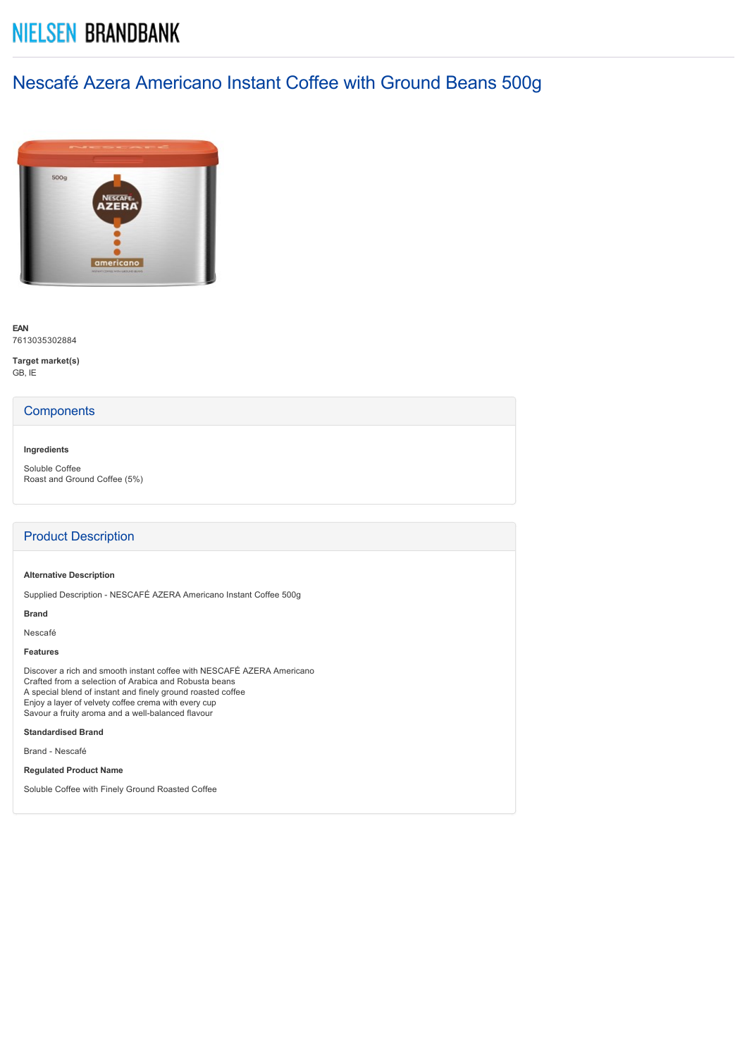# **NIELSEN BRANDBANK**

## Nescafé Azera Americano Instant Coffee with Ground Beans 500g



**EAN** 7613035302884

**Target market(s)** GB, IE

### **Components**

#### **Ingredients**

Soluble Coffee Roast and Ground Coffee (5%)

## Product Description

#### **Alternative Description**

Supplied Description NESCAFÉ AZERA Americano Instant Coffee 500g

## **Brand**

Nescafé

## **Features**

Discover a rich and smooth instant coffee with NESCAFÉ AZERA Americano Crafted from a selection of Arabica and Robusta beans A special blend of instant and finely ground roasted coffee Enjoy a layer of velvety coffee crema with every cup Savour a fruity aroma and a well-balanced flavour

#### **Standardised Brand**

Brand - Nescafé

**Regulated Product Name**

Soluble Coffee with Finely Ground Roasted Coffee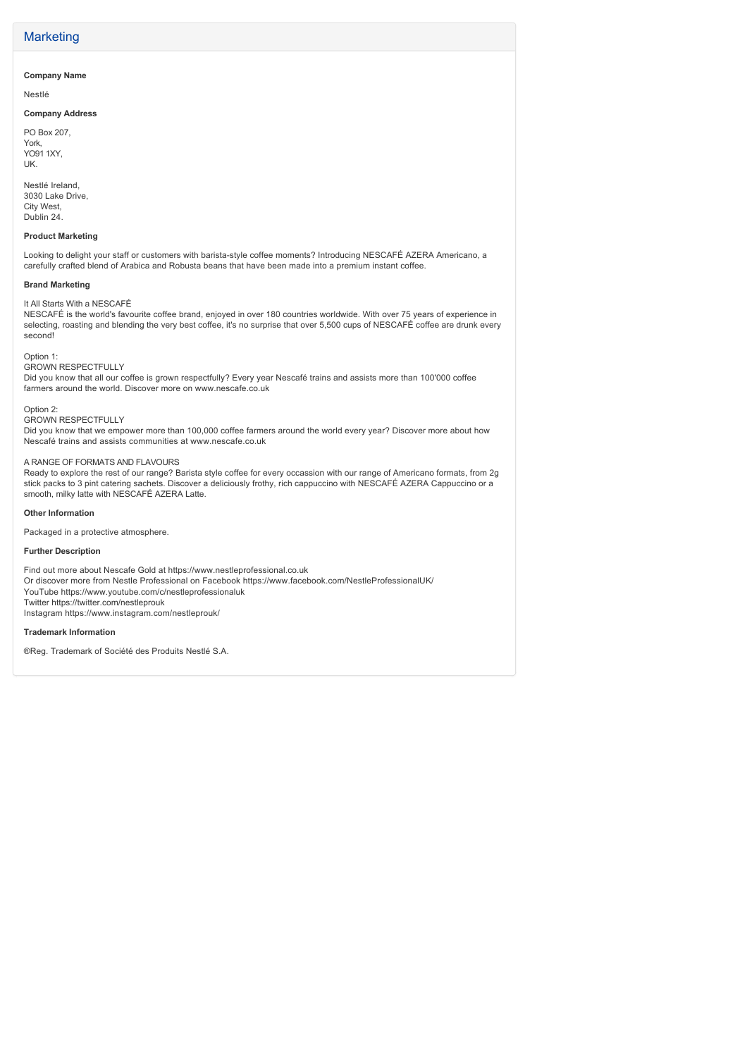### **Marketing**

#### **Company Name**

Nestlé

#### **Company Address**

PO Box 207, York, YO91 1XY, UK.

Nestlé Ireland, 3030 Lake Drive, City West, Dublin 24.

#### **Product Marketing**

Looking to delight your staff or customers with barista-style coffee moments? Introducing NESCAFÉ AZERA Americano, a carefully crafted blend of Arabica and Robusta beans that have been made into a premium instant coffee.

#### **Brand Marketing**

It All Starts With a NESCAFÉ

NESCAFÉ is the world's favourite coffee brand, enjoyed in over 180 countries worldwide. With over 75 years of experience in selecting, roasting and blending the very best coffee, it's no surprise that over 5,500 cups of NESCAFÉ coffee are drunk every second!

#### Option 1:

GROWN RESPECTFULLY

Did you know that all our coffee is grown respectfully? Every year Nescafé trains and assists more than 100'000 coffee farmers around the world. Discover more on www.nescafe.co.uk

Option 2:

GROWN RESPECTFULLY Did you know that we empower more than 100,000 coffee farmers around the world every year? Discover more about how Nescafé trains and assists communities at www.nescafe.co.uk

#### A RANGE OF FORMATS AND FLAVOURS

Ready to explore the rest of our range? Barista style coffee for every occassion with our range of Americano formats, from 2g stick packs to 3 pint catering sachets. Discover a deliciously frothy, rich cappuccino with NESCAFÉ AZERA Cappuccino or a smooth, milky latte with NESCAFÉ AZERA Latte.

#### **Other Information**

Packaged in a protective atmosphere.

#### **Further Description**

Find out more about Nescafe Gold at https://www.nestleprofessional.co.uk Or discover more from Nestle Professional on Facebook https://www.facebook.com/NestleProfessionalUK/ YouTube https://www.youtube.com/c/nestleprofessionaluk Twitter https://twitter.com/nestleprouk Instagram https://www.instagram.com/nestleprouk/

#### **Trademark Information**

®Reg. Trademark of Société des Produits Nestlé S.A.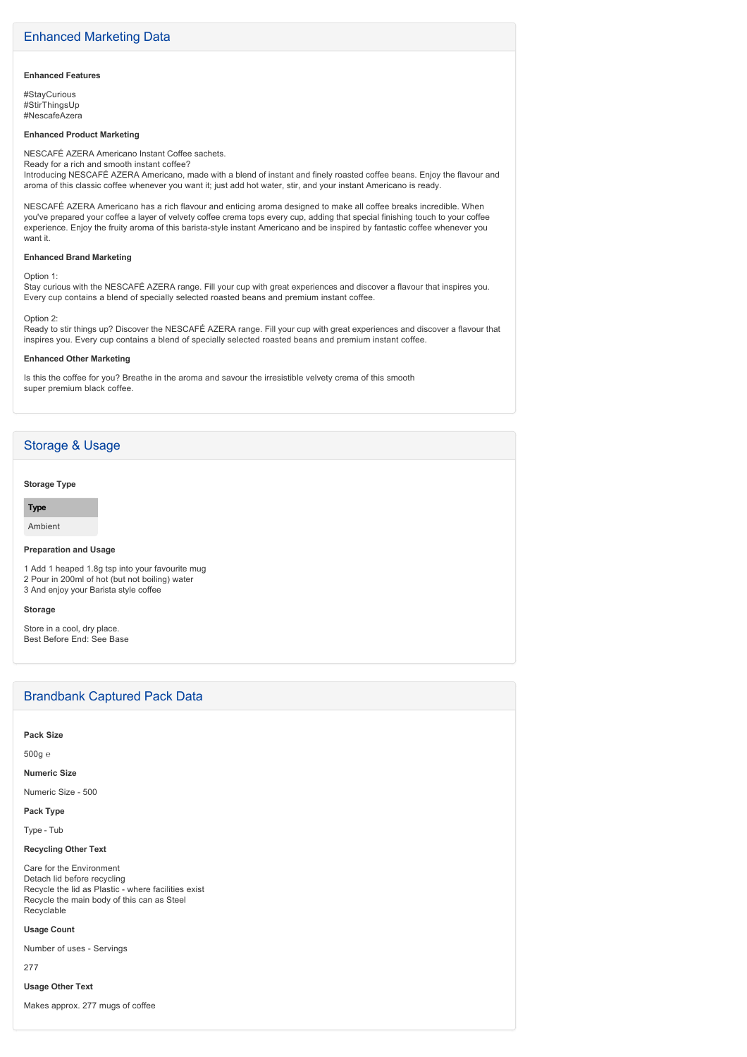#### **Enhanced Features**

#StayCurious #StirThingsUp #NescafeAzera

#### **Enhanced Product Marketing**

NESCAFÉ AZERA Americano Instant Coffee sachets. Ready for a rich and smooth instant coffee?

Introducing NESCAFÉ AZERA Americano, made with a blend of instant and finely roasted coffee beans. Enjoy the flavour and aroma of this classic coffee whenever you want it; just add hot water, stir, and your instant Americano is ready.

NESCAFÉ AZERA Americano has a rich flavour and enticing aroma designed to make all coffee breaks incredible. When you've prepared your coffee a layer of velvety coffee crema tops every cup, adding that special finishing touch to your coffee experience. Enjoy the fruity aroma of this barista-style instant Americano and be inspired by fantastic coffee whenever you want it.

#### **Enhanced Brand Marketing**

Option 1:

Stay curious with the NESCAFÉ AZERA range. Fill your cup with great experiences and discover a flavour that inspires you. Every cup contains a blend of specially selected roasted beans and premium instant coffee.

#### Option 2:

Ready to stir things up? Discover the NESCAFÉ AZERA range. Fill your cup with great experiences and discover a flavour that inspires you. Every cup contains a blend of specially selected roasted beans and premium instant coffee.

#### **Enhanced Other Marketing**

Is this the coffee for you? Breathe in the aroma and savour the irresistible velvety crema of this smooth super premium black coffee.

## Storage & Usage

#### **Storage Type**

**Type**

Ambient

#### **Preparation and Usage**

1 Add 1 heaped 1.8g tsp into your favourite mug 2 Pour in 200ml of hot (but not boiling) water 3 And enjoy your Barista style coffee

#### **Storage**

Store in a cool, dry place. Best Before End: See Base

## Brandbank Captured Pack Data

**Pack Size**

500g ℮

**Numeric Size**

#### Numeric Size - 500

**Pack Type**

Type - Tub

#### **Recycling Other Text**

Care for the Environment Detach lid before recycling Recycle the lid as Plastic - where facilities exist Recycle the main body of this can as Steel Recyclable

#### **Usage Count**

Number of uses - Servings

277

**Usage Other Text**

Makes approx. 277 mugs of coffee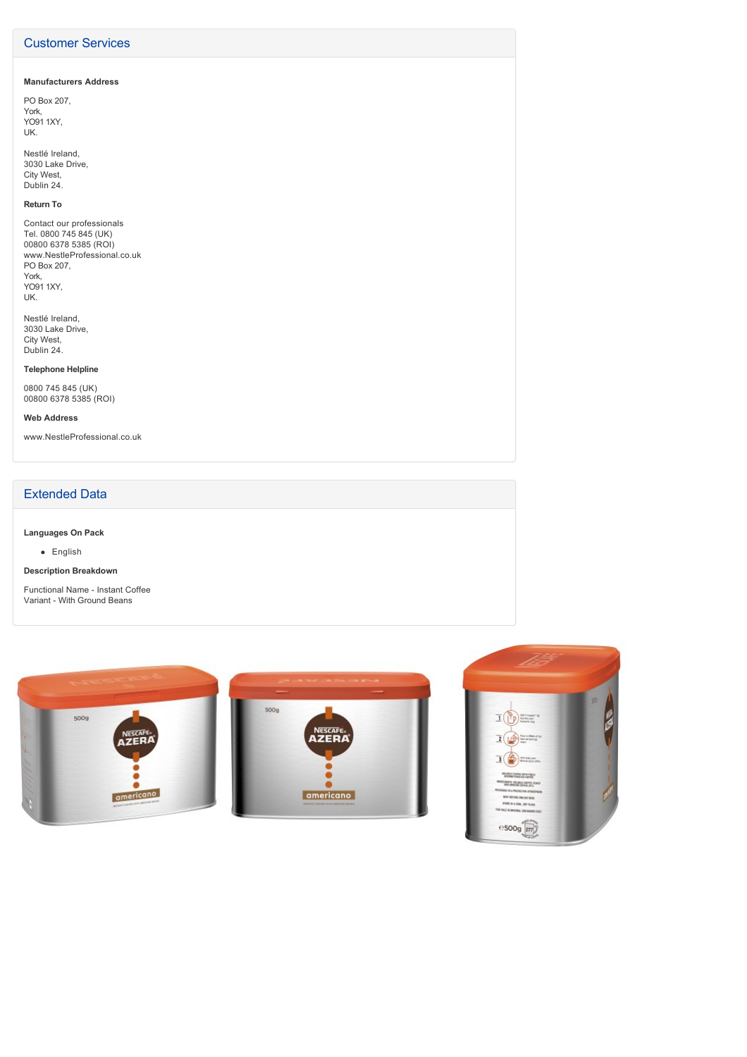## Customer Services

#### **Manufacturers Address**

PO Box 207, York, YO91 1XY, UK.

Nestlé Ireland, 3030 Lake Drive, City West, Dublin 24.

#### **Return To**

Contact our professionals Tel. 0800 745 845 (UK) 00800 6378 5385 (ROI) www.NestleProfessional.co.uk PO Box 207, York, YO91 1XY, UK.

Nestlé Ireland, 3030 Lake Drive, City West, Dublin 24.

#### **Telephone Helpline**

0800 745 845 (UK) 00800 6378 5385 (ROI)

#### **Web Address**

www.NestleProfessional.co.uk

## Extended Data

## **Languages On Pack**

English

#### **Description Breakdown**

Functional Name - Instant Coffee Variant - With Ground Beans